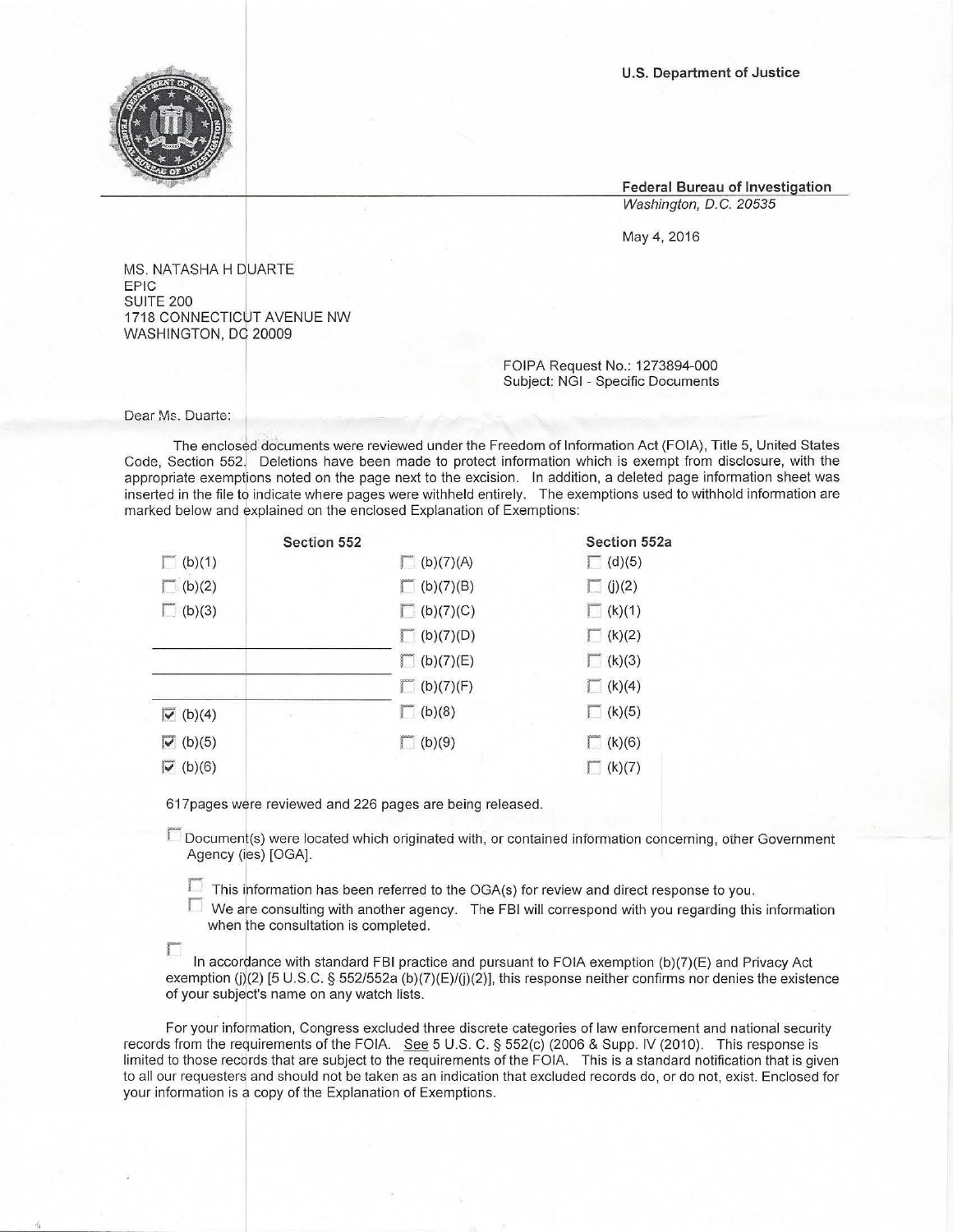U.S. Department of Justice

**Federal Bureau of Investigation**  Washington, D.C. 20535

May 4, 2016

MS. NATASHA H DUARTE EPIC<br>SUITE 200 1718 CONNECTICUT AVENUE NW WASHINGTON, DC 20009

> FOIPA Request No.: 1273894-000 **Subject: NGI - Specific Documents**

**Dear Ms. Duarte:** 

The enclosed documents were reviewed under the Freedom of Information Act (FOIA), Title 5, United States **Code, Section 552. Deletions have been made to protect information which is exempt from disclosure, with the**  appropriate exemptions noted on the page next to the excision. In addition, a deleted page information sheet was **inserted in the file to indicate where pages were withheld entirely. The exemptions used to withhold information are marked below and explained on the enclosed Explanation of Exemptions:** 

|                                             | Section 552             |                  | Section 552a    |
|---------------------------------------------|-------------------------|------------------|-----------------|
| $\Gamma$ (b)(1)                             |                         | $\Box$ (b)(7)(A) | $\sqrt{(d)(5)}$ |
| $\Box$ (b)(2)                               |                         | (b)(7)(B)        | $\Box$ (j)(2)   |
| $\Box$ (b)(3)                               |                         | $\Box$ (b)(7)(C) | $\Box$ (k)(1)   |
|                                             |                         | $\Box$ (b)(7)(D) | $\sqrt{(k)(2)}$ |
|                                             |                         | $\Box$ (b)(7)(E) | $\Gamma$ (k)(3) |
|                                             |                         | $\Box$ (b)(7)(F) | $\Box$ (k)(4)   |
| $\overline{\triangledown}$ (b)(4)           | $\overline{\mathbb{S}}$ | (b)(8)           | $\Gamma$ (k)(5) |
| $\overline{\triangledown}$ (b)(5)           |                         | $\Box$ (b)(9)    | (k)(6)          |
| $\overline{\smash[b]{\checkmark}}\;$ (b)(6) |                         |                  | (k)(7)          |

617pages were reviewed and 226 pages are being released .

**r Document(s) were located which originated with, or contained information concerning, other Government**  Agency (ies) [OGA].

 $\Box$  This information has been referred to the OGA(s) for review and direct response to you.

 $\Box$  We are consulting with another agency. The FBI will correspond with you regarding this information when the consultation is completed.

 $\Box$ In accordance with standard FBI practice and pursuant to FOIA exemption (b)(7)(E) and Privacy Act exemption (j)(2) [5 U.S.C. § 552/552a (b)(7)(E)/(j)(2)], this response neither confirms nor denies the existence **of your subject's name on any watch lists.** 

**For your information, Congress excluded three discrete categories of law enforcement and national security**  records from the requirements of the FOIA. See 5 U.S. C. § 552(c) (2006 & Supp. IV (2010). This response is limited to those records that are subject to the requirements of the FOIA. This is a standard notification that is given **to all our requesters and should not be taken as an indication that excluded records do, or do not, exist. Enclosed for**  your information is a copy of the Explanation of Exemptions.